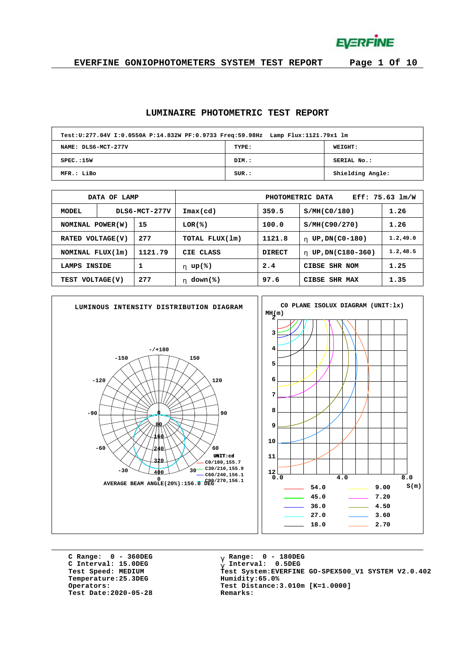**EVERFINE** 

**EVERFINE GONIOPHOTOMETERS SYSTEM TEST REPORT Page 1 Of 10**

#### **LUMINAIRE PHOTOMETRIC TEST REPORT**

| Test:U:277.04V I:0.0550A P:14.832W PF:0.9733 Freq:59.98Hz Lamp Flux:1121.79x1 lm |       |                  |
|----------------------------------------------------------------------------------|-------|------------------|
| NAME: DLS6-MCT-277V                                                              | TYPE: | WEIGHT:          |
| SPEC.:15W                                                                        | DIM.: | SERIAL No.:      |
| MFR.: LiBo                                                                       | SUR.: | Shielding Angle: |

|                         | DATA OF LAMP |               | Eff: 75.63 lm/W<br>PHOTOMETRIC DATA |        |                        |           |  |  |  |  |  |  |
|-------------------------|--------------|---------------|-------------------------------------|--------|------------------------|-----------|--|--|--|--|--|--|
| MODEL                   |              | DLS6-MCT-277V | Imax(cd)                            | 359.5  | S/MH(C0/180)           | 1.26      |  |  |  |  |  |  |
| 15<br>NOMINAL POWER(W)  |              |               | LOR(%)                              | 100.0  | S/MH(C90/270)          | 1.26      |  |  |  |  |  |  |
| 277<br>RATED VOLTAGE(V) |              |               | TOTAL FLUX(1m)                      | 1121.8 | UP, DN(C0-180)<br>h.   | 1.2, 49.0 |  |  |  |  |  |  |
| NOMINAL FLUX(1m)        |              | 1121.79       | CIE CLASS                           | DIRECT | UP, DN(C180-360)<br>h. | 1.2, 48.5 |  |  |  |  |  |  |
| 1<br>INSIDE<br>LAMPS    |              |               | h $up$ (%)                          | 2.4    | CIBSE SHR NOM          | 1.25      |  |  |  |  |  |  |
| TEST VOLTAGE(V)         |              | 277           | $down$ (%)<br>h.                    | 97.6   | CIBSE SHR MAX          | 1.35      |  |  |  |  |  |  |



**C Range: 0 - 360DEG C Interval: 15.0DEG**  $Temperature:25.3DEG$ **Test Date:2020-05-28 Remarks:**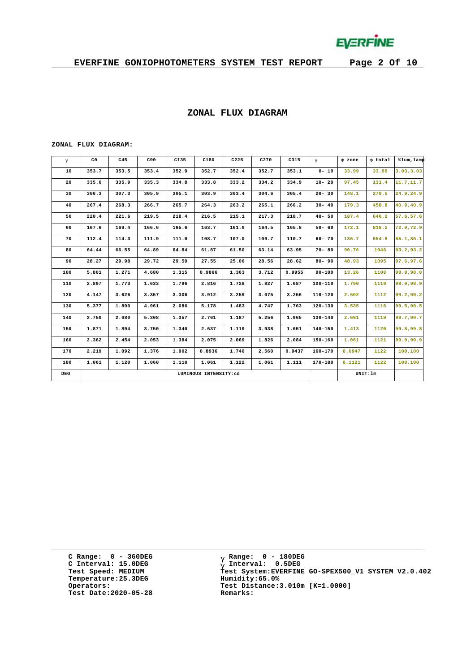

#### **ZONAL FLUX DIAGRAM**

#### **ZONAL FLUX DIAGRAM:**

| g   | C <sub>0</sub> | C45   | C90   | C135                  | C180   | C225  | C270  | C315     | $\mathsf{q}$ | F zone | F total | %lum, lamp |
|-----|----------------|-------|-------|-----------------------|--------|-------|-------|----------|--------------|--------|---------|------------|
| 10  | 353.7          | 353.5 | 353.4 | 352.9                 | 352.7  | 352.4 | 352.7 | 353.1    | $0 - 10$     | 33.99  | 33.99   | 3.03, 3.03 |
| 20  | 335.6          | 335.9 | 335.3 | 334.8                 | 333.8  | 333.2 | 334.2 | 334.9    | $10 - 20$    | 97.45  | 131.4   | 11.7,11.7  |
| 30  | 306.3          | 307.3 | 305.9 | 305.1                 | 303.9  | 303.4 | 304.6 | 305.4    | $20 - 30$    | 148.1  | 279.5   | 24.9,24.9  |
| 40  | 267.4          | 268.3 | 266.7 | 265.7                 | 264.3  | 263.2 | 265.1 | 266.2    | $30 - 40$    | 179.3  | 458.8   | 40.9,40.9  |
| 50  | 220.4          | 221.6 | 219.5 | 218.4                 | 216.5  | 215.1 | 217.3 | 218.7    | $40 - 50$    | 187.4  | 646.2   | 57.6,57.6  |
| 60  | 167.6          | 169.4 | 166.6 | 165.6                 | 163.7  | 161.9 | 164.5 | 165.8    | $50 - 60$    | 172.1  | 818.2   | 72.9,72.9  |
| 70  | 112.4          | 114.3 | 111.9 | 111.0                 | 108.7  | 107.0 | 109.7 | 110.7    | $60 - 70$    | 136.7  | 954.9   | 85.1,85.1  |
| 80  | 64.44          | 66.55 | 64.89 | 64.84                 | 61.87  | 61.50 | 63.14 | 63.95    | $70 - 80$    | 90.76  | 1046    | 93.2,93.2  |
| 90  | 28.27          | 29.98 | 29.72 | 29.59                 | 27.55  | 25.06 | 28.56 | 28.62    | $80 - 90$    | 48.93  | 1095    | 97.6,97.6  |
| 100 | 5.801          | 1.271 | 4.680 | 1.315                 | 0.9866 | 1.363 | 3.712 | 0.9955   | $90 - 100$   | 13.26  | 1108    | 98.8,98.8  |
| 110 | 2.897          | 1.773 | 1.633 | 1.796                 | 2.816  | 1.728 | 1.827 | 1.687    | 100-110      | 1.790  | 1110    | 98.9,98.9  |
| 120 | 4.147          | 3.626 | 3.357 | 3.306                 | 3.912  | 3.259 | 3.075 | 3.256    | $110 - 120$  | 2.602  | 1112    | 99.2,99.2  |
| 130 | 5.377          | 1.890 | 4.961 | 2.086                 | 5.178  | 1.483 | 4.747 | 1.763    | 120-130      | 3.535  | 1116    | 99.5,99.5  |
| 140 | 2.750          | 2.080 | 5.308 | 1.357                 | 2.761  | 1.187 | 5.256 | 1.965    | 130-140      | 2.691  | 1119    | 99.7,99.7  |
| 150 | 1.871          | 1.894 | 3.750 | 1.340                 | 2.637  | 1.119 | 3.938 | 1.651    | $140 - 150$  | 1.413  | 1120    | 99.8,99.8  |
| 160 | 2.362          | 2.454 | 2.053 | 1.384                 | 2.075  | 2.069 | 1.826 | 2.084    | $150 - 160$  | 1.061  | 1121    | 99.9,99.9  |
| 170 | 2.219          | 1.092 | 1.376 | 1.902                 | 0.8936 | 1.740 | 2.560 | 0.9437   | $160 - 170$  | 0.6947 | 1122    | 100,100    |
| 180 | 1.061          | 1.120 | 1.060 | 1.110                 | 1.061  | 1.122 | 1.061 | 1.111    | 170-180      | 0.1121 | 1122    | 100,100    |
| DEG |                |       |       | LUMINOUS INTENSITY:cd |        |       |       | UNIT: 1m |              |        |         |            |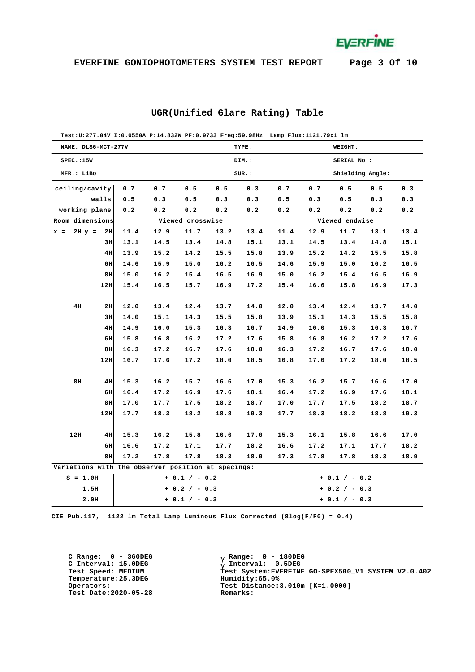**EVERFINE** 

|                                                    | Test:U:277.04V I:0.0550A P:14.832W PF:0.9733 Freq:59.98Hz Lamp Flux:1121.79x1 lm |      |      |                  |      |       |      |      |                  |      |      |  |  |  |
|----------------------------------------------------|----------------------------------------------------------------------------------|------|------|------------------|------|-------|------|------|------------------|------|------|--|--|--|
| NAME: DLS6-MCT-277V                                |                                                                                  |      |      |                  |      | TYPE: |      |      | <b>WEIGHT:</b>   |      |      |  |  |  |
| SPEC.:15W                                          |                                                                                  |      |      |                  |      | DIM.: |      |      | SERIAL No.:      |      |      |  |  |  |
| MFR.: LiBo                                         |                                                                                  |      |      |                  |      | SUR.: |      |      | Shielding Angle: |      |      |  |  |  |
| ceiling/cavity                                     |                                                                                  | 0.7  | 0.7  | 0.5              | 0.5  | 0.3   | 0.7  | 0.7  | 0.5              | 0.5  | 0.3  |  |  |  |
|                                                    | walls                                                                            | 0.5  | 0.3  | 0.5              | 0.3  | 0.3   | 0.5  | 0.3  | 0.5              | 0.3  | 0.3  |  |  |  |
| working plane                                      |                                                                                  | 0.2  | 0.2  | 0.2              | 0.2  | 0.2   | 0.2  | 0.2  | 0.2              | 0.2  | 0.2  |  |  |  |
| Room dimensions                                    |                                                                                  |      |      | Viewed crosswise |      |       |      |      | Viewed endwise   |      |      |  |  |  |
| $x =$                                              | $2H y = 2H$                                                                      | 11.4 | 12.9 | 11.7             | 13.2 | 13.4  | 11.4 | 12.9 | 11.7             | 13.1 | 13.4 |  |  |  |
|                                                    | 3H                                                                               | 13.1 | 14.5 | 13.4             | 14.8 | 15.1  | 13.1 | 14.5 | 13.4             | 14.8 | 15.1 |  |  |  |
|                                                    | 4H                                                                               | 13.9 | 15.2 | 14.2             | 15.5 | 15.8  | 13.9 | 15.2 | 14.2             | 15.5 | 15.8 |  |  |  |
|                                                    | 6H                                                                               | 14.6 | 15.9 | 15.0             | 16.2 | 16.5  | 14.6 | 15.9 | 15.0             | 16.2 | 16.5 |  |  |  |
|                                                    | 8H                                                                               | 15.0 | 16.2 | 15.4             | 16.5 | 16.9  | 15.0 | 16.2 | 15.4             | 16.5 | 16.9 |  |  |  |
|                                                    | 12H                                                                              | 15.4 | 16.5 | 15.7             | 16.9 | 17.2  | 15.4 | 16.6 | 15.8             | 16.9 | 17.3 |  |  |  |
|                                                    |                                                                                  |      |      |                  |      |       |      |      |                  |      |      |  |  |  |
| 4H                                                 | 2H                                                                               | 12.0 | 13.4 | 12.4             | 13.7 | 14.0  | 12.0 | 13.4 | 12.4             | 13.7 | 14.0 |  |  |  |
|                                                    | 3H                                                                               | 14.0 | 15.1 | 14.3             | 15.5 | 15.8  | 13.9 | 15.1 | 14.3             | 15.5 | 15.8 |  |  |  |
|                                                    | 4H                                                                               | 14.9 | 16.0 | 15.3             | 16.3 | 16.7  | 14.9 | 16.0 | 15.3             | 16.3 | 16.7 |  |  |  |
|                                                    | 6H                                                                               | 15.8 | 16.8 | 16.2             | 17.2 | 17.6  | 15.8 | 16.8 | 16.2             | 17.2 | 17.6 |  |  |  |
|                                                    | 8H                                                                               | 16.3 | 17.2 | 16.7             | 17.6 | 18.0  | 16.3 | 17.2 | 16.7             | 17.6 | 18.0 |  |  |  |
|                                                    | 12H                                                                              | 16.7 | 17.6 | 17.2             | 18.0 | 18.5  | 16.8 | 17.6 | 17.2             | 18.0 | 18.5 |  |  |  |
|                                                    |                                                                                  |      |      |                  |      |       |      |      |                  |      |      |  |  |  |
| 8H                                                 | 4H                                                                               | 15.3 | 16.2 | 15.7             | 16.6 | 17.0  | 15.3 | 16.2 | 15.7             | 16.6 | 17.0 |  |  |  |
|                                                    | 6H                                                                               | 16.4 | 17.2 | 16.9             | 17.6 | 18.1  | 16.4 | 17.2 | 16.9             | 17.6 | 18.1 |  |  |  |
|                                                    | 8H                                                                               | 17.0 | 17.7 | 17.5             | 18.2 | 18.7  | 17.0 | 17.7 | 17.5             | 18.2 | 18.7 |  |  |  |
|                                                    | 12H                                                                              | 17.7 | 18.3 | 18.2             | 18.8 | 19.3  | 17.7 | 18.3 | 18.2             | 18.8 | 19.3 |  |  |  |
|                                                    |                                                                                  |      |      |                  |      |       |      |      |                  |      |      |  |  |  |
| 12H                                                | 4H                                                                               | 15.3 | 16.2 | 15.8             | 16.6 | 17.0  | 15.3 | 16.1 | 15.8             | 16.6 | 17.0 |  |  |  |
|                                                    | 6H                                                                               | 16.6 | 17.2 | 17.1             | 17.7 | 18.2  | 16.6 | 17.2 | 17.1             | 17.7 | 18.2 |  |  |  |
|                                                    | 8H                                                                               | 17.2 | 17.8 | 17.8             | 18.3 | 18.9  | 17.3 | 17.8 | 17.8             | 18.3 | 18.9 |  |  |  |
| Variations with the observer position at spacings: |                                                                                  |      |      |                  |      |       |      |      |                  |      |      |  |  |  |
| $S = 1.0H$                                         |                                                                                  |      |      | $+ 0.1 / - 0.2$  |      |       |      |      | $+ 0.1 / - 0.2$  |      |      |  |  |  |
| 1.5H                                               |                                                                                  |      |      | $+ 0.2 / - 0.3$  |      |       |      |      | $+ 0.2 / - 0.3$  |      |      |  |  |  |
| 2.0H                                               |                                                                                  |      |      | $+ 0.1 / - 0.3$  |      |       |      |      | $+ 0.1 / - 0.3$  |      |      |  |  |  |

#### **UGR(Unified Glare Rating) Table**

**CIE Pub.117, 1122 lm Total Lamp Luminous Flux Corrected (8log(F/F0) = 0.4)**

**C Range: 0 - 360DEG C Interval: 15.0DEG Temperature:25.3DEG Humidity:65.0% Test Date:2020-05-28 Remarks:**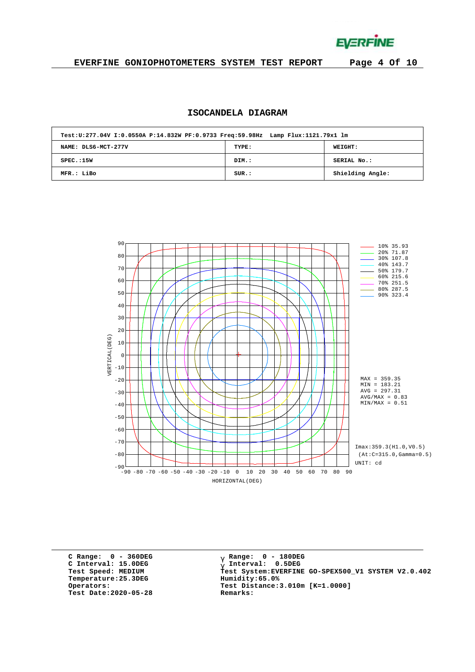**EVERFINE** 

### **EVERFINE GONIOPHOTOMETERS SYSTEM TEST REPORT Page 4 Of 10**

## **ISOCANDELA DIAGRAM**

| Test:U:277.04V I:0.0550A P:14.832W PF:0.9733 Freq:59.98Hz Lamp Flux:1121.79x1 lm |       |                  |
|----------------------------------------------------------------------------------|-------|------------------|
| NAME: DLS6-MCT-277V                                                              | TYPE: | <b>WEIGHT:</b>   |
| SPEC.:15W                                                                        | DIM.: | SERIAL No.:      |
| MFR.: LiBo                                                                       | SUR.: | Shielding Angle: |



**C Range: 0 - 360DEG C Interval: 15.0DEG Temperature:25.3DEG Humidity:65.0% Test Date:2020-05-28 Remarks:**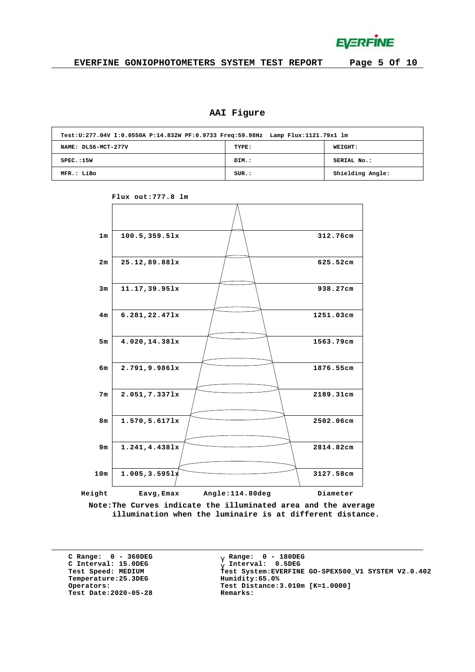**EVERFINE** 

# **AAI Figure**

| Test:U:277.04V I:0.0550A P:14.832W PF:0.9733 Freq:59.98Hz Lamp Flux:1121.79x1 lm |       |                  |
|----------------------------------------------------------------------------------|-------|------------------|
| NAME: DLS6-MCT-277V                                                              | TYPE: | <b>WEIGHT:</b>   |
| SPEC.:15W                                                                        | DIM.: | SERIAL No.:      |
| MFR.: LiBo                                                                       | SUR.: | Shielding Angle: |



**Flux out:777.8 lm**

**Note:The Curves indicate the illuminated area and the average illumination when the luminaire is at different distance.**

**C Range: 0 - 360DEG C Interval: 15.0DEG**  $Temperature:25.3DEG$ **Test Date:2020-05-28 Remarks:**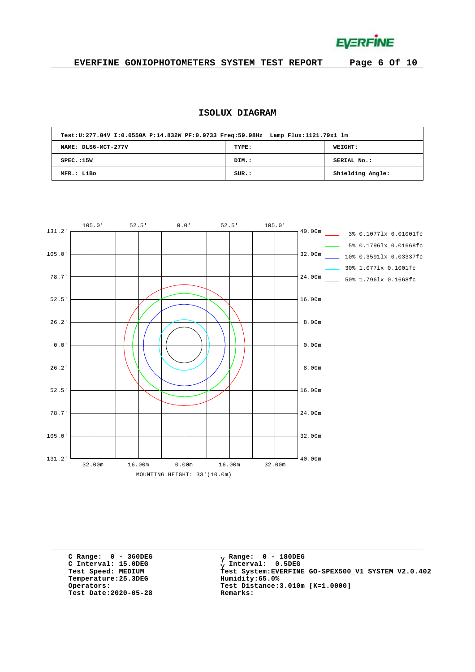**EVERFINE** 

## **EVERFINE GONIOPHOTOMETERS SYSTEM TEST REPORT Page 6 Of 10**

## **ISOLUX DIAGRAM**

| Test:U:277.04V I:0.0550A P:14.832W PF:0.9733 Freq:59.98Hz Lamp Flux:1121.79x1 lm |       |                  |
|----------------------------------------------------------------------------------|-------|------------------|
| NAME: DLS6-MCT-277V                                                              | TYPE: | WEIGHT:          |
| SPEC.:15W                                                                        | DIM.: | SERIAL No.:      |
| MFR.: LiBo                                                                       | SUR.: | Shielding Angle: |



**C Range: 0 - 360DEG C Interval: 15.0DEG**  $Temperature:25.3DEG$ **Test Date:2020-05-28 Remarks:**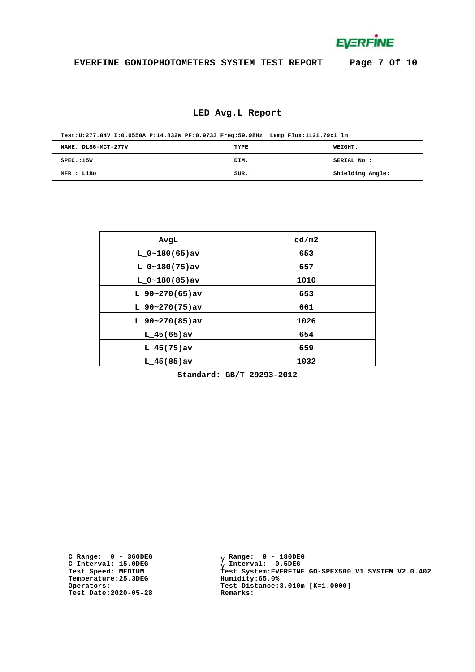**EVERFINE** 

## **EVERFINE GONIOPHOTOMETERS SYSTEM TEST REPORT Page 7 Of 10**

# **LED Avg.L Report**

| Test:U:277.04V I:0.0550A P:14.832W PF:0.9733 Freq:59.98Hz Lamp Flux:1121.79x1 lm |       |                  |
|----------------------------------------------------------------------------------|-------|------------------|
| NAME: DLS6-MCT-277V                                                              | TYPE: | WEIGHT:          |
| SPEC.:15W                                                                        | DIM.: | SERIAL No.:      |
| MFR.: LiBo                                                                       | SUR.: | Shielding Angle: |

| AvgL             | cd/m2 |
|------------------|-------|
| $L 0~180(65)$ av | 653   |
| $L 0~180(75)$ av | 657   |
| $L 0~180(85)$ av | 1010  |
| $L$ 90~270(65)av | 653   |
| $L$ 90~270(75)av | 661   |
| $L$ 90~270(85)av | 1026  |
| $L$ 45(65) av    | 654   |
| $L$ 45(75)av     | 659   |
| $L$ 45(85)av     | 1032  |

**Standard: GB/T 29293-2012**

**C Range: 0 - 360DEG C Interval: 15.0DEG Temperature:25.3DEG Humidity:65.0% Test Date:2020-05-28 Remarks:**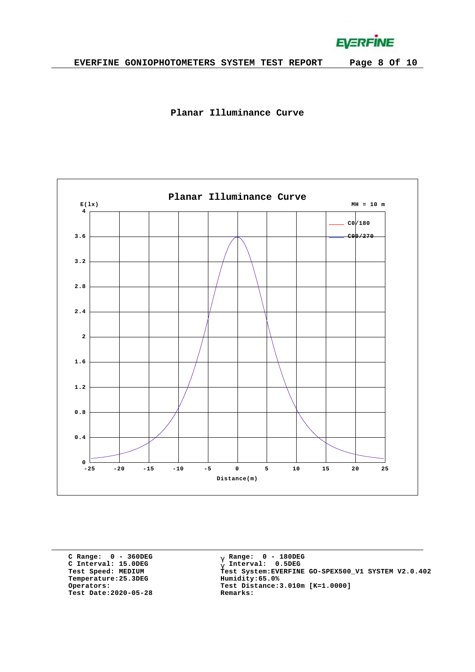**EVERFINE** 





**C Range: 0 - 360DEG C Interval: 15.0DEG Temperature:25.3DEG Humidity:65.0% Test Date:2020-05-28 Remarks:**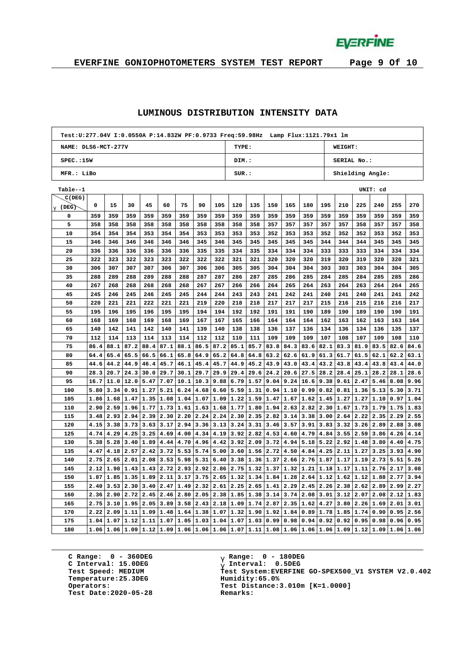**EVERFINE** 

## **EVERFINE GONIOPHOTOMETERS SYSTEM TEST REPORT Page 9 Of 10**

#### **LUMINOUS DISTRIBUTION INTENSITY DATA**

| Test:U:277.04V I:0.0550A P:14.832W PF:0.9733 Freq:59.98Hz Lamp Flux:1121.79x1 lm |      |      |                            |                |      |                |      |      |                           |                                                     |      |      |                    |      |                                                          |           |          |             |      |  |
|----------------------------------------------------------------------------------|------|------|----------------------------|----------------|------|----------------|------|------|---------------------------|-----------------------------------------------------|------|------|--------------------|------|----------------------------------------------------------|-----------|----------|-------------|------|--|
| NAME: DLS6-MCT-277V                                                              |      |      |                            |                |      |                |      |      | TYPE:<br>WEIGHT:          |                                                     |      |      |                    |      |                                                          |           |          |             |      |  |
| SPEC.:15W                                                                        |      |      |                            |                |      |                |      |      | DIM.:                     |                                                     |      |      |                    |      | SERIAL No.:                                              |           |          |             |      |  |
| MFR.: LiBo                                                                       |      |      |                            |                |      |                |      |      | SUR.:<br>Shielding Angle: |                                                     |      |      |                    |      |                                                          |           |          |             |      |  |
| Table--1                                                                         |      |      |                            |                |      |                |      |      |                           |                                                     |      |      |                    |      |                                                          |           | UNIT: cd |             |      |  |
| C(DEG)                                                                           |      |      |                            |                |      |                |      |      |                           |                                                     |      |      |                    |      |                                                          |           |          |             |      |  |
| $\frac{g}{g}$ (DEG)                                                              | 0    | 15   | 30                         | 45             | 60   | 75             | 90   | 105  | 120                       | 135                                                 | 150  | 165  | 180                | 195  | 210                                                      | 225       | 240      | 255         | 270  |  |
| 0                                                                                | 359  | 359  | 359                        | 359            | 359  | 359            | 359  | 359  | 359                       | 359                                                 | 359  | 359  | 359                | 359  | 359                                                      | 359       | 359      | 359         | 359  |  |
| 5                                                                                | 358  | 358  | 358                        | 358            | 358  | 358            | 358  | 358  | 358                       | 358                                                 | 357  | 357  | 357                | 357  | 357                                                      | 358       | 357      | 357         | 358  |  |
| 10                                                                               | 354  | 354  | 354                        | 353            | 354  | 354            | 353  | 353  | 353                       | 353                                                 | 352  | 353  | 353                | 352  | 352                                                      | 352       | 353      | 352         | 353  |  |
| 15                                                                               | 346  | 346  | 346                        | 346            | 346  | 346            | 345  | 346  | 345                       | 345                                                 | 345  | 345  | 345                | 344  | 344                                                      | 344       | 345      | 345         | 345  |  |
| 20                                                                               | 336  | 336  | 336                        | 336            | 336  | 336            | 335  | 335  | 334                       | 335                                                 | 334  | 334  | 334                | 333  | 333                                                      | 333       | 334      | 334         | 334  |  |
| 25                                                                               | 322  | 323  | 322                        | 323            | 323  | 322            | 322  | 322  | 321                       | 321                                                 | 320  | 320  | 320                | 319  | 320                                                      | 319       | 320      | 320         | 321  |  |
| 30                                                                               | 306  | 307  | 307                        | 307            | 306  | 307            | 306  | 306  | 305                       | 305                                                 | 304  | 304  | 304                | 303  | 303                                                      | 303       | 304      | 304         | 305  |  |
| 35                                                                               | 288  | 289  | 288                        | 289            | 288  | 288            | 287  | 287  | 286                       | 287                                                 | 285  | 286  | 285                | 284  | 285                                                      | 284       | 285      | 285         | 286  |  |
| 40                                                                               | 267  | 268  | 268                        | 268            | 268  | 268            | 267  | 267  | 266                       | 266                                                 | 264  | 265  | 264                | 263  | 264                                                      | 263       | 264      | 264         | 265  |  |
| 45                                                                               | 245  | 246  | 245                        | 246            | 245  | 245            | 244  | 244  | 243                       | 243                                                 | 241  | 242  | 241                | 240  | 241                                                      | 240       | 241      | 241         | 242  |  |
| 50                                                                               | 220  | 221  | 221                        | 222            | 221  | 221            | 219  | 220  | 218                       | 218                                                 | 217  | 217  | 217                | 215  | 216                                                      | 215       | 216      | 216         | 217  |  |
| 55                                                                               | 195  | 196  | 195                        | 196            | 195  | 195            | 194  | 194  | 192                       | 192                                                 | 191  | 191  | 190                | 189  | 190                                                      | 189       | 190      | 190         | 191  |  |
| 60                                                                               | 168  | 169  | 168                        | 169            | 168  | 169            | 167  | 167  | 165                       | 166                                                 | 164  | 164  | 164                | 162  | 163                                                      | 162       | 163      | 163         | 164  |  |
| 65                                                                               | 140  | 142  | 141                        | 142            | 140  | 141            | 139  | 140  | 138                       | 138                                                 | 136  | 137  | 136                | 134  | 136                                                      | 134       | 136      | 135         | 137  |  |
| 70                                                                               | 112  | 114  | 113                        | 114            | 113  | 114            | 112  | 112  | 110                       | 111                                                 | 109  | 109  | 109                | 107  | 108                                                      | 107       | 109      | 108         | 110  |  |
| 75                                                                               | 86.4 | 88.1 | 87.2                       | 88.4           | 87.1 | 88.1           | 86.5 | 87.2 | 85.1                      | 85.7                                                | 83.8 | 84.3 | 83.6               | 82.1 | 83.3                                                     | 81.9      | 83.5     | 82.6        | 84.6 |  |
| 80                                                                               | 64.4 | 65.4 | 65.5                       | 66.5           | 66.1 | 65.8           | 64.9 | 65.2 | 64.8                      | 64.8                                                | 63.2 | 62.6 | 61.9               | 61.3 | 61.7                                                     | 61.5      | 62.1     | 62.2        | 63.1 |  |
| 85                                                                               | 44.6 | 44.2 | 44.9                       | 46.4           | 45.7 | 46.1           | 45.4 | 45.7 | 44.9                      | 45.2                                                | 43.9 | 43.0 | 43.4               | 43.2 | 43.8                                                     | 43.4      | 43.8     | 43.4        | 44.0 |  |
| 90                                                                               | 28.3 | 20.7 | 24.3                       | 30.0           | 29.7 | 30.1           | 29.7 | 29.9 | 29.4                      | 29.6                                                | 24.2 | 20.6 | 27.5               | 28.2 | 28.4                                                     | 25.1      | 28.2     | 28.1        | 28.6 |  |
| 95                                                                               | 16.7 | 11.0 | 12.0                       | 5.47           | 7.07 | 10.1           | 10.3 | 9.88 | 6.79                      | 1.57                                                | 9.04 | 9.24 | 16.6               | 9.38 | 9.61                                                     | 2.47      | 5.46     | 8.08        | 9.96 |  |
| 100                                                                              | 5.80 | 3.34 | 0.91                       | 1.27           | 5.21 | 6.24           | 4.68 | 6.60 | 5.59                      | 1.31                                                | 0.94 | 1.10 | 0.99               | 0.82 | 0.81                                                     | 1.36      | 5.13     | 5.30        | 3.71 |  |
| 105                                                                              | 1.86 |      | $1.68$   1.47   1.35       |                |      | 1.08 1.04 1.07 |      | 1.09 | $1.22$ 1.59               |                                                     | 1.47 | 1.67 |                    |      | $1.62$   1.45   1.27                                     | 1.27      | 1.10     | 0.97        | 1.04 |  |
| 110                                                                              | 2.90 |      | $2.59$ 1.96                | 1.77           |      | 1.73 1.61      | 1.63 | 1.68 | 1.77                      | 1.80                                                | 1.94 | 2.63 | 2.82               | 2.30 | 1.67                                                     | 1.73      | 1.79     | 1.75        | 1.83 |  |
| 115                                                                              | 3.48 | 2.93 | 2.94                       | 2.39           | 2.30 | 2.20           | 2.24 | 2.24 | 2.30                      | 2.35                                                | 2.82 | 3.14 | 3.38               | 3.00 | 2.64                                                     | 2.22      | 2.35     | 2.29        | 2.55 |  |
| 120                                                                              | 4.15 | 3.38 | 3.73                       | 3.63           | 3.17 | 2.94           | 3.36 | 3.13 | 3.24                      | 3.31                                                | 3.46 | 3.57 | 3.91               | 3.83 | 3.32                                                     | 3.26      | 2.89     | 2.88        | 3.08 |  |
| 125                                                                              | 4.74 | 4.29 | 4.25                       | 3.25           | 4.69 | 4.00           | 4.34 | 4.19 | 3.92                      | 2.82                                                | 4.53 | 4.60 | 4.79               | 4.84 | 3.55                                                     | 2.59      | 3.86     | 4.26        | 4.14 |  |
| 130                                                                              | 5.38 | 5.28 | 3.40                       | 1.89           | 4.44 | 4.70           | 4.96 | 4.42 | 3.92                      | 2.09                                                | 3.72 | 4.94 | 5.18               | 5.22 | 2.92                                                     | 1.48      | 3.80     | 4.40        | 4.75 |  |
| 135                                                                              | 4.47 | 4.18 | 2.57                       | 2.42           | 3.72 | 5.53           | 5.74 | 5.00 | 3.60                      | 1.56                                                | 2.72 | 4.50 | 4.84               |      | $4.25$   2.11                                            | 1.27      | 3.25     | 3.93        | 4.90 |  |
| 140                                                                              | 2.75 | 2.65 | 2.01                       | 2.08           | 3.53 | 5.98           | 5.31 | 6.40 | 3.38                      | 1.36                                                | 1.37 | 2.66 | 2.76               | 1.87 | 1.17                                                     | 1.19      | 2.73     | 5.51        | 5.26 |  |
| 145                                                                              | 2.12 |      |                            | 1.98 1.43 1.43 | 2.72 | 2.93           | 2.92 | 2.86 | 2.75                      | 1.32                                                | 1.37 | 1.32 | $\vert 1.21 \vert$ | 1.18 | 1.17                                                     | 1.11      | 2.76     | 2.17        | 3.08 |  |
| 150                                                                              | 1.87 |      | $1.85 \mid 1.35 \mid 1.89$ |                | 2.11 | 3.17           | 3.75 | 2.65 | 1.32                      | 1.34                                                | 1.84 | 1.28 | 2.64               |      | $1.12$   1.62                                            | 1.12      | 1.88     | 2.77        | 3.94 |  |
| 155                                                                              | 2.40 | 3.53 | 2.30                       | 3.40           | 2.47 | 1.49           | 2.32 | 2.61 | 2.25                      | 2.65                                                | 1.41 | 2.29 | 2.45               | 2.26 | 2.38                                                     | 2.62      | 2.89     | 2.99        | 2.27 |  |
| 160                                                                              | 2.36 | 2.90 | 2.72                       | 2.45           | 2.46 | 2.80           | 2.05 |      | 2.38 1.85                 | 1.38                                                | 3.14 | 3.74 | 2.08               | 3.01 | 3.12                                                     | 2.07      | 2.08     | 2.12        | 1.83 |  |
| 165                                                                              | 2.75 | 3.10 | 1.95                       | 2.05           | 3.89 | 3.58           | 2.43 | 2.18 | 1.09                      | 1.74                                                | 2.87 | 2.35 | 1.62               | 4.27 | 3.80                                                     | 2.26      | 1.69     | 2.01        | 3.01 |  |
| 170                                                                              | 2.22 | 2.09 | 1.11                       | 1.09           | 1.48 | 1.64           | 1.38 | 1.07 | 1.32                      | 1.90                                                | 1.92 | 1.84 | 0.89               | 1.78 |                                                          | 1.85 1.74 | 0.90     | 0.95        | 2.56 |  |
| 175                                                                              | 1.04 | 1.07 | 1.12                       | 1.11           | 1.07 | 1.05           | 1.03 | 1.04 | 1.07                      | 1.03                                                | 0.99 | 0.98 | 0.94               | 0.92 | 0.92                                                     | 0.95      | 0.98     | 0.96        | 0.95 |  |
| 180                                                                              | 1.06 |      |                            |                |      |                |      |      |                           | $1.06 1.09 1.12 1.09 1.06 1.06 1.06 1.07 1.11 1.08$ |      |      |                    |      | $\mid 1.06 \mid 1.06 \mid 1.06 \mid 1.09 \mid 1.12 \mid$ |           |          | $1.09$ 1.06 | 1.06 |  |

**C Range: 0 - 360DEG C Interval: 15.0DEG Temperature:25.3DEG Humidity:65.0% Test Date:2020-05-28 Remarks:**